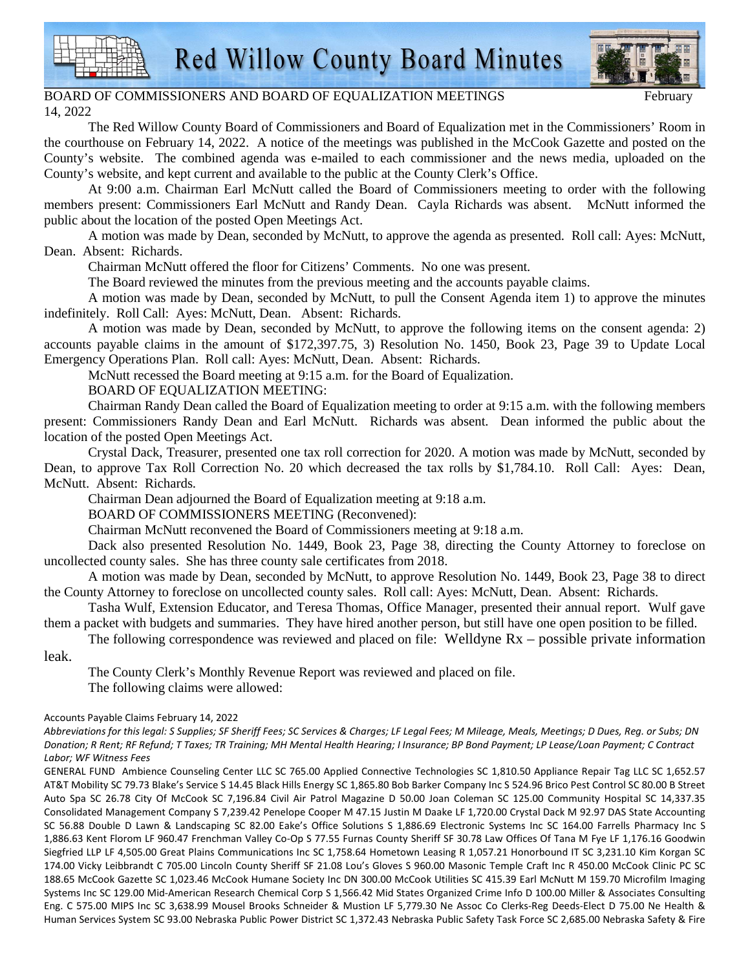



## BOARD OF COMMISSIONERS AND BOARD OF EQUALIZATION MEETINGS 14, 2022

The Red Willow County Board of Commissioners and Board of Equalization met in the Commissioners' Room in the courthouse on February 14, 2022. A notice of the meetings was published in the McCook Gazette and posted on the County's website. The combined agenda was e-mailed to each commissioner and the news media, uploaded on the County's website, and kept current and available to the public at the County Clerk's Office.

At 9:00 a.m. Chairman Earl McNutt called the Board of Commissioners meeting to order with the following members present: Commissioners Earl McNutt and Randy Dean. Cayla Richards was absent. McNutt informed the public about the location of the posted Open Meetings Act.

A motion was made by Dean, seconded by McNutt, to approve the agenda as presented. Roll call: Ayes: McNutt, Dean. Absent: Richards.

Chairman McNutt offered the floor for Citizens' Comments. No one was present.

The Board reviewed the minutes from the previous meeting and the accounts payable claims.

A motion was made by Dean, seconded by McNutt, to pull the Consent Agenda item 1) to approve the minutes indefinitely. Roll Call: Ayes: McNutt, Dean. Absent: Richards.

A motion was made by Dean, seconded by McNutt, to approve the following items on the consent agenda: 2) accounts payable claims in the amount of \$172,397.75, 3) Resolution No. 1450, Book 23, Page 39 to Update Local Emergency Operations Plan. Roll call: Ayes: McNutt, Dean. Absent: Richards.

McNutt recessed the Board meeting at 9:15 a.m. for the Board of Equalization.

BOARD OF EQUALIZATION MEETING:

Chairman Randy Dean called the Board of Equalization meeting to order at 9:15 a.m. with the following members present: Commissioners Randy Dean and Earl McNutt. Richards was absent. Dean informed the public about the location of the posted Open Meetings Act.

Crystal Dack, Treasurer, presented one tax roll correction for 2020. A motion was made by McNutt, seconded by Dean, to approve Tax Roll Correction No. 20 which decreased the tax rolls by \$1,784.10. Roll Call: Ayes: Dean, McNutt. Absent: Richards.

Chairman Dean adjourned the Board of Equalization meeting at 9:18 a.m.

BOARD OF COMMISSIONERS MEETING (Reconvened):

Chairman McNutt reconvened the Board of Commissioners meeting at 9:18 a.m.

Dack also presented Resolution No. 1449, Book 23, Page 38, directing the County Attorney to foreclose on uncollected county sales. She has three county sale certificates from 2018.

A motion was made by Dean, seconded by McNutt, to approve Resolution No. 1449, Book 23, Page 38 to direct the County Attorney to foreclose on uncollected county sales. Roll call: Ayes: McNutt, Dean. Absent: Richards.

Tasha Wulf, Extension Educator, and Teresa Thomas, Office Manager, presented their annual report. Wulf gave them a packet with budgets and summaries. They have hired another person, but still have one open position to be filled.

The following correspondence was reviewed and placed on file: Welldyne Rx – possible private information

leak.

The County Clerk's Monthly Revenue Report was reviewed and placed on file. The following claims were allowed:

## Accounts Payable Claims February 14, 2022

*Abbreviations for this legal: S Supplies; SF Sheriff Fees; SC Services & Charges; LF Legal Fees; M Mileage, Meals, Meetings; D Dues, Reg. or Subs; DN Donation; R Rent; RF Refund; T Taxes; TR Training; MH Mental Health Hearing; I Insurance; BP Bond Payment; LP Lease/Loan Payment; C Contract Labor; WF Witness Fees*

GENERAL FUND Ambience Counseling Center LLC SC 765.00 Applied Connective Technologies SC 1,810.50 Appliance Repair Tag LLC SC 1,652.57 AT&T Mobility SC 79.73 Blake's Service S 14.45 Black Hills Energy SC 1,865.80 Bob Barker Company Inc S 524.96 Brico Pest Control SC 80.00 B Street Auto Spa SC 26.78 City Of McCook SC 7,196.84 Civil Air Patrol Magazine D 50.00 Joan Coleman SC 125.00 Community Hospital SC 14,337.35 Consolidated Management Company S 7,239.42 Penelope Cooper M 47.15 Justin M Daake LF 1,720.00 Crystal Dack M 92.97 DAS State Accounting SC 56.88 Double D Lawn & Landscaping SC 82.00 Eake's Office Solutions S 1,886.69 Electronic Systems Inc SC 164.00 Farrells Pharmacy Inc S 1,886.63 Kent Florom LF 960.47 Frenchman Valley Co-Op S 77.55 Furnas County Sheriff SF 30.78 Law Offices Of Tana M Fye LF 1,176.16 Goodwin Siegfried LLP LF 4,505.00 Great Plains Communications Inc SC 1,758.64 Hometown Leasing R 1,057.21 Honorbound IT SC 3,231.10 Kim Korgan SC 174.00 Vicky Leibbrandt C 705.00 Lincoln County Sheriff SF 21.08 Lou's Gloves S 960.00 Masonic Temple Craft Inc R 450.00 McCook Clinic PC SC 188.65 McCook Gazette SC 1,023.46 McCook Humane Society Inc DN 300.00 McCook Utilities SC 415.39 Earl McNutt M 159.70 Microfilm Imaging Systems Inc SC 129.00 Mid-American Research Chemical Corp S 1,566.42 Mid States Organized Crime Info D 100.00 Miller & Associates Consulting Eng. C 575.00 MIPS Inc SC 3,638.99 Mousel Brooks Schneider & Mustion LF 5,779.30 Ne Assoc Co Clerks-Reg Deeds-Elect D 75.00 Ne Health & Human Services System SC 93.00 Nebraska Public Power District SC 1,372.43 Nebraska Public Safety Task Force SC 2,685.00 Nebraska Safety & Fire